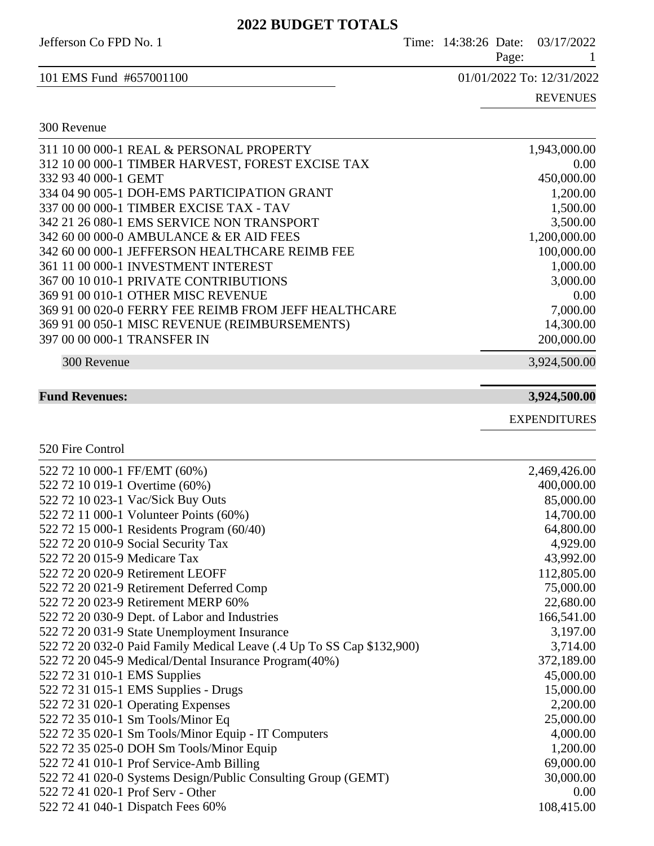## **2022 BUDGET TOTALS**

Jefferson Co FPD No. 1 Time: 14:38:26 Date: 03/17/2022

Page: 1

101 EMS Fund #657001100 01/01/2022 To: 12/31/2022

300 Revenue

REVENUES

## 311 10 00 000-1 REAL & PERSONAL PROPERTY 1,943,000.00 312 10 00 000-1 TIMBER HARVEST, FOREST EXCISE TAX 0.00 332 93 40 000-1 GEMT 450,000.00 334 04 90 005-1 DOH-EMS PARTICIPATION GRANT 1,200.00 337 00 00 000-1 TIMBER EXCISE TAX - TAV 1,500.00 342 21 26 080-1 EMS SERVICE NON TRANSPORT 3,500.00 342 60 00 000-0 AMBULANCE & ER AID FEES 1,200,000.00 342 60 00 000-1 JEFFERSON HEALTHCARE REIMB FEE 100,000.00 361 11 00 000-1 INVESTMENT INTEREST 1,000.00 367 00 10 010-1 PRIVATE CONTRIBUTIONS 3,000.00 369 91 00 010-1 OTHER MISC REVENUE 0.00 369 91 00 020-0 FERRY FEE REIMB FROM JEFF HEALTHCARE 7,000.00 369 91 00 050-1 MISC REVENUE (REIMBURSEMENTS) 14,300.00 397 00 00 000-1 TRANSFER IN 200,000.00 300 Revenue 3,924,500.00

**Fund Revenues: 3,924,500.00**

EXPENDITURES

520 Fire Control

| 522 72 10 000-1 FF/EMT (60%)                                          | 2,469,426.00 |
|-----------------------------------------------------------------------|--------------|
| 522 72 10 019-1 Overtime (60%)                                        | 400,000.00   |
| 522 72 10 023-1 Vac/Sick Buy Outs                                     | 85,000.00    |
| 522 72 11 000-1 Volunteer Points (60%)                                | 14,700.00    |
| 522 72 15 000-1 Residents Program (60/40)                             | 64,800.00    |
| 522 72 20 010-9 Social Security Tax                                   | 4,929.00     |
| 522 72 20 015-9 Medicare Tax                                          | 43,992.00    |
| 522 72 20 020-9 Retirement LEOFF                                      | 112,805.00   |
| 522 72 20 021-9 Retirement Deferred Comp                              | 75,000.00    |
| 522 72 20 023-9 Retirement MERP 60%                                   | 22,680.00    |
| 522 72 20 030-9 Dept. of Labor and Industries                         | 166,541.00   |
| 522 72 20 031-9 State Unemployment Insurance                          | 3,197.00     |
| 522 72 20 032-0 Paid Family Medical Leave (.4 Up To SS Cap \$132,900) | 3,714.00     |
| 522 72 20 045-9 Medical/Dental Insurance Program(40%)                 | 372,189.00   |
| 522 72 31 010-1 EMS Supplies                                          | 45,000.00    |
| 522 72 31 015-1 EMS Supplies - Drugs                                  | 15,000.00    |
| 522 72 31 020-1 Operating Expenses                                    | 2,200.00     |
| 522 72 35 010-1 Sm Tools/Minor Eq                                     | 25,000.00    |
| 522 72 35 020-1 Sm Tools/Minor Equip - IT Computers                   | 4,000.00     |
| 522 72 35 025-0 DOH Sm Tools/Minor Equip                              | 1,200.00     |
| 522 72 41 010-1 Prof Service-Amb Billing                              | 69,000.00    |
| 522 72 41 020-0 Systems Design/Public Consulting Group (GEMT)         | 30,000.00    |
| 522 72 41 020-1 Prof Serv - Other                                     | 0.00         |
| 522 72 41 040-1 Dispatch Fees 60%                                     | 108,415.00   |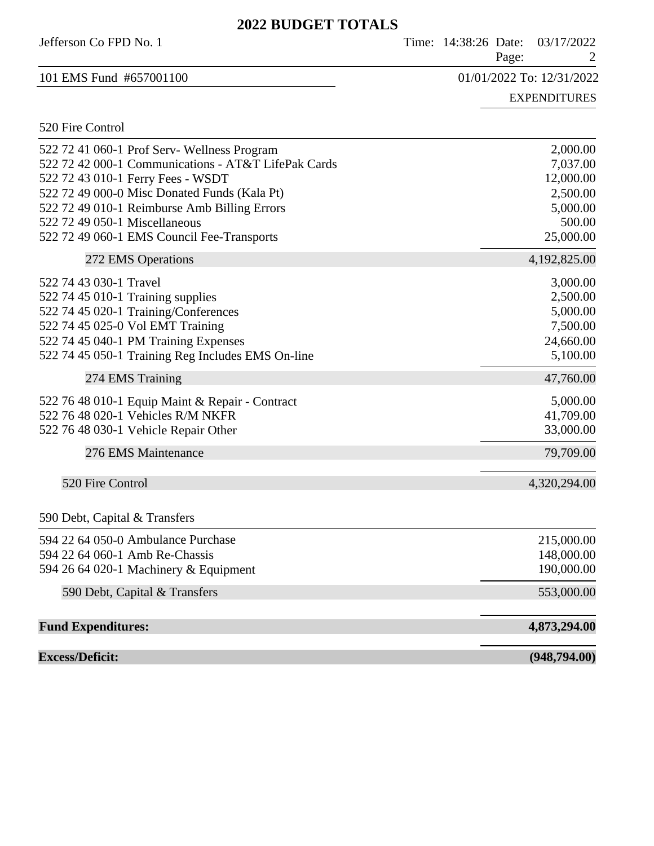## **2022 BUDGET TOTALS**

| 2022 DUDGEL TOTALS                                  |                                             |
|-----------------------------------------------------|---------------------------------------------|
| Jefferson Co FPD No. 1                              | Time: 14:38:26 Date:<br>03/17/2022<br>Page: |
| 101 EMS Fund #657001100                             | 01/01/2022 To: 12/31/2022                   |
|                                                     | <b>EXPENDITURES</b>                         |
| 520 Fire Control                                    |                                             |
| 522 72 41 060-1 Prof Serv- Wellness Program         | 2,000.00                                    |
| 522 72 42 000-1 Communications - AT&T LifePak Cards | 7,037.00                                    |
| 522 72 43 010-1 Ferry Fees - WSDT                   | 12,000.00                                   |
| 522 72 49 000-0 Misc Donated Funds (Kala Pt)        | 2,500.00                                    |
| 522 72 49 010-1 Reimburse Amb Billing Errors        | 5,000.00                                    |
| 522 72 49 050-1 Miscellaneous                       | 500.00                                      |
| 522 72 49 060-1 EMS Council Fee-Transports          | 25,000.00                                   |
| 272 EMS Operations                                  | 4,192,825.00                                |
| 522 74 43 030-1 Travel                              | 3,000.00                                    |
| 522 74 45 010-1 Training supplies                   | 2,500.00                                    |
| 522 74 45 020-1 Training/Conferences                | 5,000.00                                    |
| 522 74 45 025-0 Vol EMT Training                    | 7,500.00                                    |
| 522 74 45 040-1 PM Training Expenses                | 24,660.00                                   |
| 522 74 45 050-1 Training Reg Includes EMS On-line   | 5,100.00                                    |
| 274 EMS Training                                    | 47,760.00                                   |
| 522 76 48 010-1 Equip Maint & Repair - Contract     | 5,000.00                                    |
| 522 76 48 020-1 Vehicles R/M NKFR                   | 41,709.00                                   |
| 522 76 48 030-1 Vehicle Repair Other                | 33,000.00                                   |
| 276 EMS Maintenance                                 | 79,709.00                                   |
| 520 Fire Control                                    | 4,320,294.00                                |
| 590 Debt, Capital & Transfers                       |                                             |
| 594 22 64 050-0 Ambulance Purchase                  | 215,000.00                                  |
| 594 22 64 060-1 Amb Re-Chassis                      | 148,000.00                                  |
| 594 26 64 020-1 Machinery & Equipment               | 190,000.00                                  |
|                                                     | 553,000.00                                  |
| 590 Debt, Capital & Transfers                       |                                             |
| <b>Fund Expenditures:</b>                           | 4,873,294.00                                |
| <b>Excess/Deficit:</b>                              | (948, 794.00)                               |